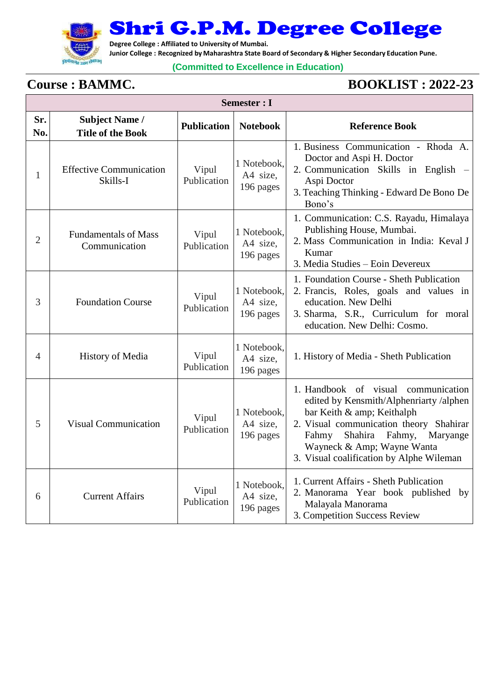

Shri G.P.M. Degree College

**Degree College : Affiliated to University of Mumbai.**

**Junior College : Recognized by Maharashtra State Board of Secondary & Higher Secondary Education Pune.**

## **(Committed to Excellence in Education)**

## **Course : BAMMC. BOOKLIST : 2022-23**

| Semester : I |                                                   |                      |                                      |                                                                                                                                                                                                                                                                       |  |
|--------------|---------------------------------------------------|----------------------|--------------------------------------|-----------------------------------------------------------------------------------------------------------------------------------------------------------------------------------------------------------------------------------------------------------------------|--|
| Sr.<br>No.   | <b>Subject Name /</b><br><b>Title of the Book</b> | <b>Publication</b>   | <b>Notebook</b>                      | <b>Reference Book</b>                                                                                                                                                                                                                                                 |  |
| 1            | <b>Effective Communication</b><br>Skills-I        | Vipul<br>Publication | 1 Notebook,<br>A4 size,<br>196 pages | 1. Business Communication - Rhoda A.<br>Doctor and Aspi H. Doctor<br>2. Communication Skills in English<br>Aspi Doctor<br>3. Teaching Thinking - Edward De Bono De<br>Bono's                                                                                          |  |
| 2            | <b>Fundamentals of Mass</b><br>Communication      | Vipul<br>Publication | 1 Notebook,<br>A4 size,<br>196 pages | 1. Communication: C.S. Rayadu, Himalaya<br>Publishing House, Mumbai.<br>2. Mass Communication in India: Keval J<br>Kumar<br>3. Media Studies - Eoin Devereux                                                                                                          |  |
| 3            | <b>Foundation Course</b>                          | Vipul<br>Publication | 1 Notebook,<br>A4 size,<br>196 pages | 1. Foundation Course - Sheth Publication<br>2. Francis, Roles, goals and values in<br>education. New Delhi<br>3. Sharma, S.R., Curriculum for moral<br>education. New Delhi: Cosmo.                                                                                   |  |
| 4            | History of Media                                  | Vipul<br>Publication | 1 Notebook,<br>A4 size,<br>196 pages | 1. History of Media - Sheth Publication                                                                                                                                                                                                                               |  |
| 5            | <b>Visual Communication</b>                       | Vipul<br>Publication | 1 Notebook,<br>A4 size,<br>196 pages | 1. Handbook of visual communication<br>edited by Kensmith/Alphenriarty /alphen<br>bar Keith & amp; Keithalph<br>2. Visual communication theory Shahirar<br>Shahira Fahmy, Maryange<br>Fahmy<br>Wayneck & Amp; Wayne Wanta<br>3. Visual coalification by Alphe Wileman |  |
| 6            | <b>Current Affairs</b>                            | Vipul<br>Publication | 1 Notebook,<br>A4 size,<br>196 pages | 1. Current Affairs - Sheth Publication<br>2. Manorama Year book published by<br>Malayala Manorama<br>3. Competition Success Review                                                                                                                                    |  |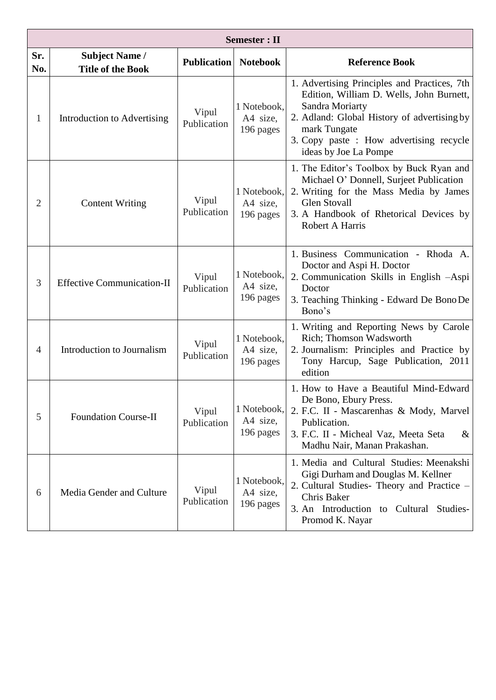|                | <b>Semester</b> : II                              |                      |                                      |                                                                                                                                                                                                                                                |  |  |
|----------------|---------------------------------------------------|----------------------|--------------------------------------|------------------------------------------------------------------------------------------------------------------------------------------------------------------------------------------------------------------------------------------------|--|--|
| Sr.<br>No.     | <b>Subject Name /</b><br><b>Title of the Book</b> | <b>Publication</b>   | <b>Notebook</b>                      | <b>Reference Book</b>                                                                                                                                                                                                                          |  |  |
| 1              | Introduction to Advertising                       | Vipul<br>Publication | 1 Notebook,<br>A4 size,<br>196 pages | 1. Advertising Principles and Practices, 7th<br>Edition, William D. Wells, John Burnett,<br>Sandra Moriarty<br>2. Adland: Global History of advertising by<br>mark Tungate<br>3. Copy paste : How advertising recycle<br>ideas by Joe La Pompe |  |  |
| $\overline{2}$ | <b>Content Writing</b>                            | Vipul<br>Publication | 1 Notebook,<br>A4 size,<br>196 pages | 1. The Editor's Toolbox by Buck Ryan and<br>Michael O' Donnell, Surjeet Publication<br>2. Writing for the Mass Media by James<br><b>Glen Stovall</b><br>3. A Handbook of Rhetorical Devices by<br>Robert A Harris                              |  |  |
| 3              | <b>Effective Communication-II</b>                 | Vipul<br>Publication | 1 Notebook,<br>A4 size,<br>196 pages | 1. Business Communication - Rhoda A.<br>Doctor and Aspi H. Doctor<br>2. Communication Skills in English -Aspi<br>Doctor<br>3. Teaching Thinking - Edward De Bono De<br>Bono's                                                                  |  |  |
| $\overline{4}$ | Introduction to Journalism                        | Vipul<br>Publication | 1 Notebook,<br>A4 size,<br>196 pages | 1. Writing and Reporting News by Carole<br>Rich; Thomson Wadsworth<br>2. Journalism: Principles and Practice by<br>Tony Harcup, Sage Publication, 2011<br>edition                                                                              |  |  |
| 5              | <b>Foundation Course-II</b>                       | Vipul<br>Publication | 1 Notebook,<br>A4 size,<br>196 pages | 1. How to Have a Beautiful Mind-Edward<br>De Bono, Ebury Press.<br>2. F.C. II - Mascarenhas & Mody, Marvel<br>Publication.<br>3. F.C. II - Micheal Vaz, Meeta Seta<br>$\&$<br>Madhu Nair, Manan Prakashan.                                     |  |  |
| 6              | Media Gender and Culture                          | Vipul<br>Publication | 1 Notebook,<br>A4 size,<br>196 pages | 1. Media and Cultural Studies: Meenakshi<br>Gigi Durham and Douglas M. Kellner<br>2. Cultural Studies- Theory and Practice –<br>Chris Baker<br>3. An Introduction to Cultural<br>Studies-<br>Promod K. Nayar                                   |  |  |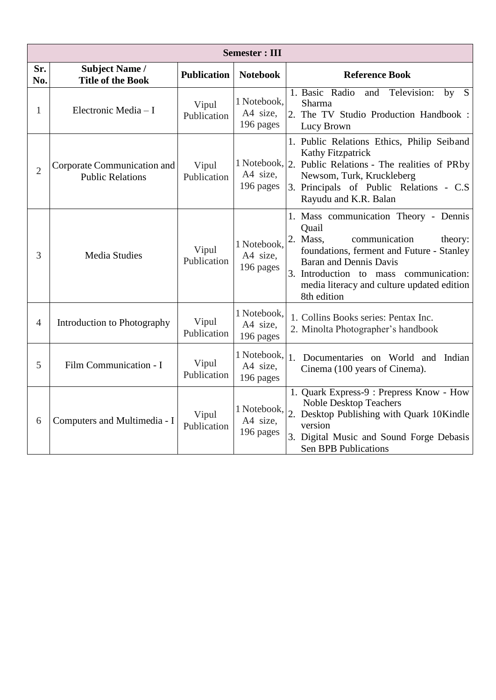| <b>Semester: III</b> |                                                        |                      |                                      |                                                                                                                                                                                                                                                                             |  |
|----------------------|--------------------------------------------------------|----------------------|--------------------------------------|-----------------------------------------------------------------------------------------------------------------------------------------------------------------------------------------------------------------------------------------------------------------------------|--|
| Sr.<br>No.           | <b>Subject Name /</b><br><b>Title of the Book</b>      | <b>Publication</b>   | <b>Notebook</b>                      | <b>Reference Book</b>                                                                                                                                                                                                                                                       |  |
| $\mathbf{1}$         | Electronic Media - I                                   | Vipul<br>Publication | 1 Notebook,<br>A4 size,<br>196 pages | 1. Basic Radio<br>Television:<br>by S<br>and<br>Sharma<br>2. The TV Studio Production Handbook:<br>Lucy Brown                                                                                                                                                               |  |
| $\overline{2}$       | Corporate Communication and<br><b>Public Relations</b> | Vipul<br>Publication | A4 size,<br>196 pages                | 1. Public Relations Ethics, Philip Seiband<br>Kathy Fitzpatrick<br>1 Notebook, 2. Public Relations - The realities of PRby<br>Newsom, Turk, Kruckleberg<br>3. Principals of Public Relations - C.S.<br>Rayudu and K.R. Balan                                                |  |
| 3                    | <b>Media Studies</b>                                   | Vipul<br>Publication | 1 Notebook,<br>A4 size,<br>196 pages | 1. Mass communication Theory - Dennis<br>Quail<br>2. Mass,<br>communication<br>theory:<br>foundations, ferment and Future - Stanley<br><b>Baran and Dennis Davis</b><br>3. Introduction to mass communication:<br>media literacy and culture updated edition<br>8th edition |  |
| $\overline{4}$       | Introduction to Photography                            | Vipul<br>Publication | 1 Notebook,<br>A4 size,<br>196 pages | 1. Collins Books series: Pentax Inc.<br>2. Minolta Photographer's handbook                                                                                                                                                                                                  |  |
| 5                    | Film Communication - I                                 | Vipul<br>Publication | A4 size,<br>196 pages                | $1$ Notebook, $\vert$ 1. Documentaries on World and Indian<br>Cinema (100 years of Cinema).                                                                                                                                                                                 |  |
| 6                    | Computers and Multimedia - I                           | Vipul<br>Publication | A4 size,<br>196 pages                | 1. Quark Express-9 : Prepress Know - How<br><b>Noble Desktop Teachers</b><br>$1$ Notebook, $\vert$ 2. Desktop Publishing with Quark 10Kindle<br>version<br>3. Digital Music and Sound Forge Debasis<br><b>Sen BPB Publications</b>                                          |  |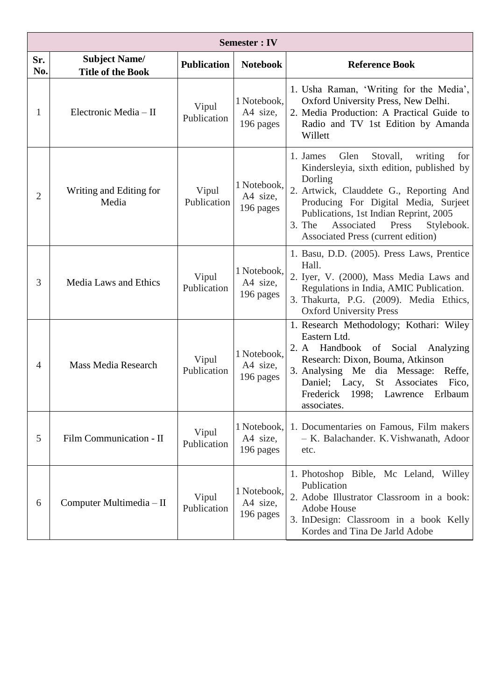| <b>Semester: IV</b> |                                                  |                      |                                      |                                                                                                                                                                                                                                                                                                                          |  |
|---------------------|--------------------------------------------------|----------------------|--------------------------------------|--------------------------------------------------------------------------------------------------------------------------------------------------------------------------------------------------------------------------------------------------------------------------------------------------------------------------|--|
| Sr.<br>No.          | <b>Subject Name/</b><br><b>Title of the Book</b> | <b>Publication</b>   | <b>Notebook</b>                      | <b>Reference Book</b>                                                                                                                                                                                                                                                                                                    |  |
| 1                   | Electronic Media - II                            | Vipul<br>Publication | 1 Notebook,<br>A4 size,<br>196 pages | 1. Usha Raman, 'Writing for the Media',<br>Oxford University Press, New Delhi.<br>2. Media Production: A Practical Guide to<br>Radio and TV 1st Edition by Amanda<br>Willett                                                                                                                                             |  |
| $\overline{2}$      | Writing and Editing for<br>Media                 | Vipul<br>Publication | 1 Notebook,<br>A4 size,<br>196 pages | 1. James<br>Glen<br>Stovall,<br>writing<br>for<br>Kindersleyia, sixth edition, published by<br>Dorling<br>2. Artwick, Clauddete G., Reporting And<br>Producing For Digital Media, Surject<br>Publications, 1st Indian Reprint, 2005<br>Associated<br>3. The<br>Press<br>Stylebook.<br>Associated Press (current edition) |  |
| 3                   | Media Laws and Ethics                            | Vipul<br>Publication | 1 Notebook,<br>A4 size,<br>196 pages | 1. Basu, D.D. (2005). Press Laws, Prentice<br>Hall.<br>2. Iyer, V. (2000), Mass Media Laws and<br>Regulations in India, AMIC Publication.<br>3. Thakurta, P.G. (2009). Media Ethics,<br><b>Oxford University Press</b>                                                                                                   |  |
| $\overline{4}$      | <b>Mass Media Research</b>                       | Vipul<br>Publication | 1 Notebook,<br>A4 size,<br>196 pages | 1. Research Methodology; Kothari: Wiley<br>Eastern Ltd.<br>2. A Handbook of Social Analyzing<br>Research: Dixon, Bouma, Atkinson<br>3. Analysing Me dia Message: Reffe,<br>Daniel; Lacy, St Associates<br>Fico,<br>Frederick 1998; Lawrence Erlbaum<br>associates.                                                       |  |
| 5                   | Film Communication - II                          | Vipul<br>Publication | 1 Notebook,<br>A4 size,<br>196 pages | 1. Documentaries on Famous, Film makers<br>- K. Balachander. K. Vishwanath, Adoor<br>etc.                                                                                                                                                                                                                                |  |
| 6                   | Computer Multimedia - II                         | Vipul<br>Publication | 1 Notebook,<br>A4 size,<br>196 pages | 1. Photoshop Bible, Mc Leland,<br>Willey<br>Publication<br>2. Adobe Illustrator Classroom in a book:<br>Adobe House<br>3. InDesign: Classroom in a book Kelly<br>Kordes and Tina De Jarld Adobe                                                                                                                          |  |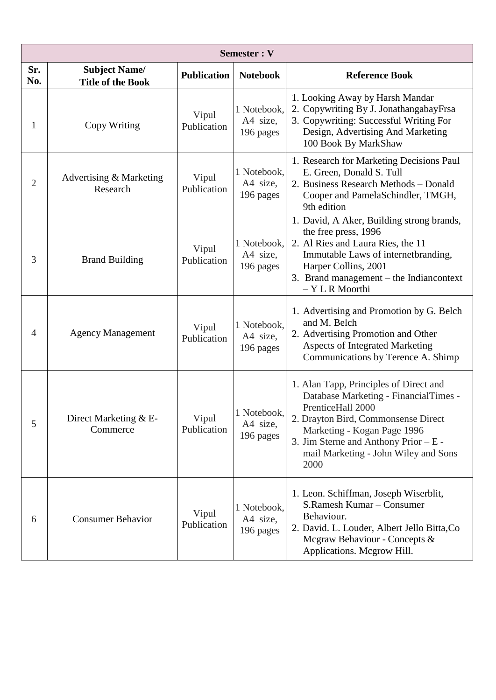| Semester: V    |                                                  |                      |                                      |                                                                                                                                                                                                                                                                       |  |
|----------------|--------------------------------------------------|----------------------|--------------------------------------|-----------------------------------------------------------------------------------------------------------------------------------------------------------------------------------------------------------------------------------------------------------------------|--|
| Sr.<br>No.     | <b>Subject Name/</b><br><b>Title of the Book</b> | <b>Publication</b>   | <b>Notebook</b>                      | <b>Reference Book</b>                                                                                                                                                                                                                                                 |  |
| 1              | Copy Writing                                     | Vipul<br>Publication | 1 Notebook,<br>A4 size,<br>196 pages | 1. Looking Away by Harsh Mandar<br>2. Copywriting By J. JonathangabayFrsa<br>3. Copywriting: Successful Writing For<br>Design, Advertising And Marketing<br>100 Book By MarkShaw                                                                                      |  |
| $\overline{2}$ | Advertising & Marketing<br>Research              | Vipul<br>Publication | 1 Notebook,<br>A4 size,<br>196 pages | 1. Research for Marketing Decisions Paul<br>E. Green, Donald S. Tull<br>2. Business Research Methods - Donald<br>Cooper and PamelaSchindler, TMGH,<br>9th edition                                                                                                     |  |
| 3              | <b>Brand Building</b>                            | Vipul<br>Publication | 1 Notebook,<br>A4 size,<br>196 pages | 1. David, A Aker, Building strong brands,<br>the free press, 1996<br>2. Al Ries and Laura Ries, the 11<br>Immutable Laws of internetbranding,<br>Harper Collins, 2001<br>3. Brand management – the Indiancontext<br>- Y L R Moorthi                                   |  |
| $\overline{4}$ | <b>Agency Management</b>                         | Vipul<br>Publication | 1 Notebook,<br>A4 size,<br>196 pages | 1. Advertising and Promotion by G. Belch<br>and M. Belch<br>2. Advertising Promotion and Other<br><b>Aspects of Integrated Marketing</b><br>Communications by Terence A. Shimp                                                                                        |  |
| 5              | Direct Marketing & E-<br>Commerce                | Vipul<br>Publication | 1 Notebook,<br>A4 size,<br>196 pages | 1. Alan Tapp, Principles of Direct and<br>Database Marketing - FinancialTimes -<br>PrenticeHall 2000<br>2. Drayton Bird, Commonsense Direct<br>Marketing - Kogan Page 1996<br>3. Jim Sterne and Anthony Prior $- E -$<br>mail Marketing - John Wiley and Sons<br>2000 |  |
| 6              | <b>Consumer Behavior</b>                         | Vipul<br>Publication | 1 Notebook,<br>A4 size,<br>196 pages | 1. Leon. Schiffman, Joseph Wiserblit,<br>S.Ramesh Kumar - Consumer<br>Behaviour.<br>2. David. L. Louder, Albert Jello Bitta, Co<br>Mcgraw Behaviour - Concepts &<br>Applications. Mcgrow Hill.                                                                        |  |